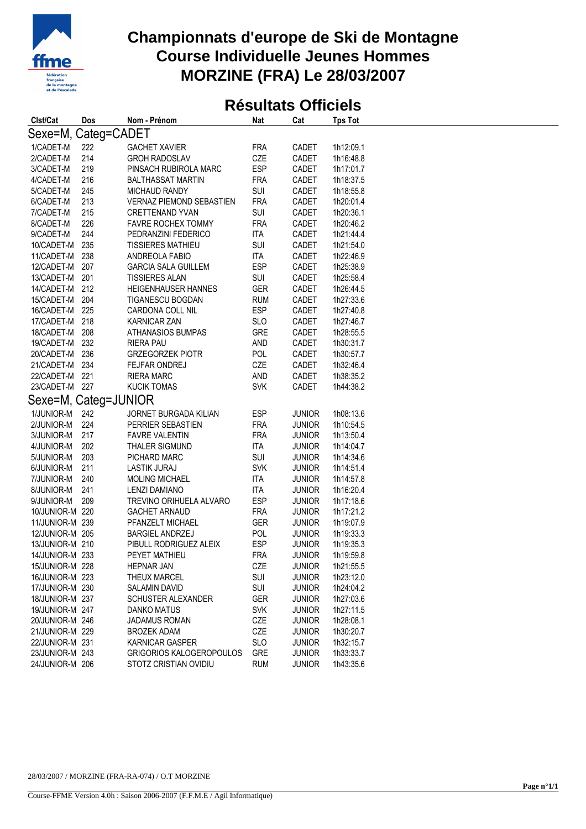

## **Championnats d'europe de Ski de Montagne Course Individuelle Jeunes Hommes MORZINE (FRA) Le 28/03/2007**

## **Résultats Officiels**

| Clst/Cat             | Dos | Nom - Prénom                    | <b>Nat</b> | Cat           | <b>Tps Tot</b> |
|----------------------|-----|---------------------------------|------------|---------------|----------------|
| Sexe=M, Categ=CADET  |     |                                 |            |               |                |
| 1/CADET-M            | 222 | <b>GACHET XAVIER</b>            | <b>FRA</b> | CADET         | 1h12:09.1      |
| 2/CADET-M            | 214 | <b>GROH RADOSLAV</b>            | CZE        | CADET         | 1h16:48.8      |
| 3/CADET-M            | 219 | PINSACH RUBIROLA MARC           | <b>ESP</b> | CADET         | 1h17:01.7      |
| 4/CADET-M            | 216 | <b>BALTHASSAT MARTIN</b>        | <b>FRA</b> | CADET         | 1h18:37.5      |
| 5/CADET-M            | 245 | <b>MICHAUD RANDY</b>            | SUI        | CADET         | 1h18:55.8      |
| 6/CADET-M            | 213 | <b>VERNAZ PIEMOND SEBASTIEN</b> | <b>FRA</b> | CADET         | 1h20:01.4      |
| 7/CADET-M            | 215 | <b>CRETTENAND YVAN</b>          | SUI        | CADET         | 1h20:36.1      |
| 8/CADET-M            | 226 | <b>FAVRE ROCHEX TOMMY</b>       | <b>FRA</b> | CADET         | 1h20:46.2      |
| 9/CADET-M            | 244 | PEDRANZINI FEDERICO             | <b>ITA</b> | CADET         | 1h21:44.4      |
| 10/CADET-M           | 235 | <b>TISSIERES MATHIEU</b>        | SUI        | CADET         | 1h21:54.0      |
| 11/CADET-M           | 238 | ANDREOLA FABIO                  | <b>ITA</b> | CADET         | 1h22:46.9      |
| 12/CADET-M           | 207 | <b>GARCIA SALA GUILLEM</b>      | <b>ESP</b> | CADET         | 1h25:38.9      |
| 13/CADET-M           | 201 | <b>TISSIERES ALAN</b>           | <b>SUI</b> | CADET         | 1h25:58.4      |
| 14/CADET-M           | 212 | HEIGENHAUSER HANNES             | <b>GER</b> | CADET         | 1h26:44.5      |
| 15/CADET-M           | 204 | TIGANESCU BOGDAN                | <b>RUM</b> | CADET         | 1h27:33.6      |
| 16/CADET-M           | 225 | CARDONA COLL NIL                | <b>ESP</b> | CADET         | 1h27:40.8      |
| 17/CADET-M           | 218 | <b>KARNICAR ZAN</b>             | <b>SLO</b> | CADET         | 1h27:46.7      |
| 18/CADET-M           | 208 | ATHANASIOS BUMPAS               | <b>GRE</b> | CADET         | 1h28:55.5      |
| 19/CADET-M           | 232 | <b>RIERA PAU</b>                | <b>AND</b> | CADET         | 1h30:31.7      |
| 20/CADET-M           | 236 | <b>GRZEGORZEK PIOTR</b>         | POL        | CADET         | 1h30:57.7      |
| 21/CADET-M           | 234 | FEJFAR ONDREJ                   | CZE        | CADET         | 1h32:46.4      |
| 22/CADET-M           | 221 | <b>RIERA MARC</b>               | <b>AND</b> | CADET         | 1h38:35.2      |
| 23/CADET-M           | 227 | <b>KUCIK TOMAS</b>              | <b>SVK</b> | CADET         | 1h44:38.2      |
| Sexe=M, Categ=JUNIOR |     |                                 |            |               |                |
| 1/JUNIOR-M           | 242 | JORNET BURGADA KILIAN           | <b>ESP</b> | <b>JUNIOR</b> | 1h08:13.6      |
| 2/JUNIOR-M           | 224 | PERRIER SEBASTIEN               | <b>FRA</b> | <b>JUNIOR</b> | 1h10:54.5      |
| 3/JUNIOR-M           | 217 | <b>FAVRE VALENTIN</b>           | <b>FRA</b> | <b>JUNIOR</b> | 1h13:50.4      |
| 4/JUNIOR-M           | 202 | <b>THALER SIGMUND</b>           | <b>ITA</b> | <b>JUNIOR</b> | 1h14:04.7      |
| 5/JUNIOR-M           | 203 | PICHARD MARC                    | SUI        | <b>JUNIOR</b> | 1h14:34.6      |
| 6/JUNIOR-M           | 211 | LASTIK JURAJ                    | <b>SVK</b> | <b>JUNIOR</b> | 1h14:51.4      |
| 7/JUNIOR-M           | 240 | <b>MOLING MICHAEL</b>           | <b>ITA</b> | <b>JUNIOR</b> | 1h14:57.8      |
| 8/JUNIOR-M           | 241 | <b>LENZI DAMIANO</b>            | <b>ITA</b> | <b>JUNIOR</b> | 1h16:20.4      |
| 9/JUNIOR-M           | 209 | TREVINO ORIHUELA ALVARO         | <b>ESP</b> | <b>JUNIOR</b> | 1h17:18.6      |
| 10/JUNIOR-M 220      |     | <b>GACHET ARNAUD</b>            | <b>FRA</b> | <b>JUNIOR</b> | 1h17:21.2      |
| 11/JUNIOR-M 239      |     | PFANZELT MICHAEL                | <b>GER</b> | <b>JUNIOR</b> | 1h19:07.9      |
| 12/JUNIOR-M 205      |     | <b>BARGIEL ANDRZEJ</b>          | <b>POL</b> | <b>JUNIOR</b> | 1h19:33.3      |
| 13/JUNIOR-M 210      |     | PIBULL RODRIGUEZ ALEIX          | <b>ESP</b> | <b>JUNIOR</b> | 1h19:35.3      |
| 14/JUNIOR-M 233      |     | PEYET MATHIEU                   | <b>FRA</b> | <b>JUNIOR</b> | 1h19:59.8      |
| 15/JUNIOR-M 228      |     | <b>HEPNAR JAN</b>               | CZE        | <b>JUNIOR</b> | 1h21:55.5      |
| 16/JUNIOR-M 223      |     | <b>THEUX MARCEL</b>             | <b>SUI</b> | <b>JUNIOR</b> | 1h23:12.0      |
| 17/JUNIOR-M 230      |     | SALAMIN DAVID                   | <b>SUI</b> | <b>JUNIOR</b> | 1h24:04.2      |
| 18/JUNIOR-M 237      |     | SCHUSTER ALEXANDER              | <b>GER</b> | <b>JUNIOR</b> | 1h27:03.6      |
| 19/JUNIOR-M 247      |     | <b>DANKO MATUS</b>              | <b>SVK</b> | <b>JUNIOR</b> | 1h27:11.5      |
| 20/JUNIOR-M 246      |     | <b>JADAMUS ROMAN</b>            | CZE        | <b>JUNIOR</b> | 1h28:08.1      |
| 21/JUNIOR-M 229      |     | <b>BROZEK ADAM</b>              | CZE        | <b>JUNIOR</b> | 1h30:20.7      |
| 22/JUNIOR-M 231      |     | <b>KARNICAR GASPER</b>          | <b>SLO</b> | <b>JUNIOR</b> | 1h32:15.7      |
| 23/JUNIOR-M 243      |     | GRIGORIOS KALOGEROPOULOS        | <b>GRE</b> | <b>JUNIOR</b> | 1h33:33.7      |
| 24/JUNIOR-M 206      |     | STOTZ CRISTIAN OVIDIU           | <b>RUM</b> | <b>JUNIOR</b> | 1h43:35.6      |
|                      |     |                                 |            |               |                |